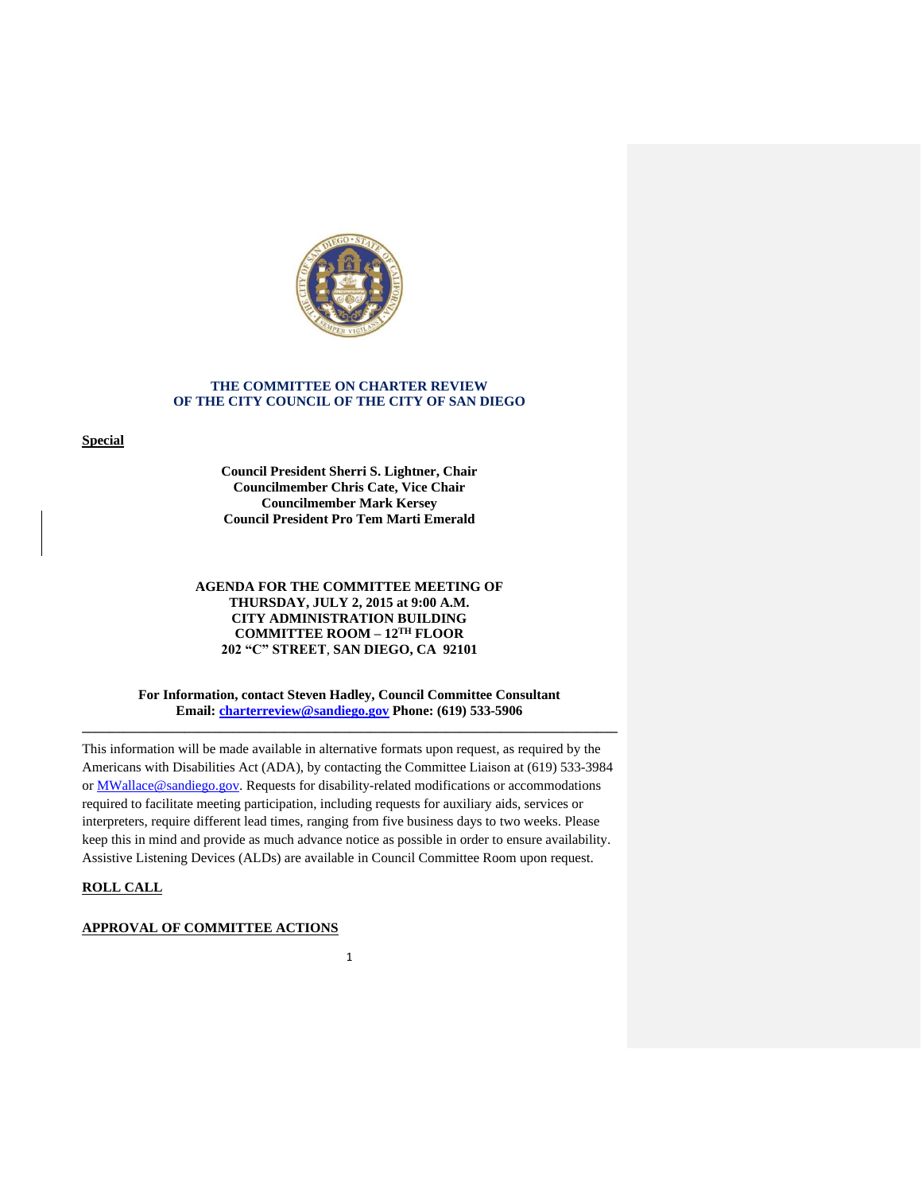

### **THE COMMITTEE ON CHARTER REVIEW OF THE CITY COUNCIL OF THE CITY OF SAN DIEGO**

**Special**

**Council President Sherri S. Lightner, Chair Councilmember Chris Cate, Vice Chair Councilmember Mark Kersey Council President Pro Tem Marti Emerald**

## **AGENDA FOR THE COMMITTEE MEETING OF THURSDAY, JULY 2, 2015 at 9:00 A.M. CITY ADMINISTRATION BUILDING COMMITTEE ROOM – 12TH FLOOR 202 "C" STREET**, **SAN DIEGO, CA 92101**

**For Information, contact Steven Hadley, Council Committee Consultant Email: [charterreview@sandiego.gov](mailto:charterreview@sandiego.gov) Phone: (619) 533-5906 \_\_\_\_\_\_\_\_\_\_\_\_\_\_\_\_\_\_\_\_\_\_\_\_\_\_\_\_\_\_\_\_\_\_\_\_\_\_\_\_\_\_\_\_\_\_\_\_\_\_\_\_\_\_\_\_\_\_\_\_\_\_\_\_\_\_\_\_\_\_\_\_\_\_\_\_\_\_**

This information will be made available in alternative formats upon request, as required by the Americans with Disabilities Act (ADA), by contacting the Committee Liaison at (619) 533-3984 or MWallace@sandiego.gov. Requests for disability-related modifications or accommodations required to facilitate meeting participation, including requests for auxiliary aids, services or interpreters, require different lead times, ranging from five business days to two weeks. Please keep this in mind and provide as much advance notice as possible in order to ensure availability. Assistive Listening Devices (ALDs) are available in Council Committee Room upon request.

# **ROLL CALL**

## **APPROVAL OF COMMITTEE ACTIONS**

1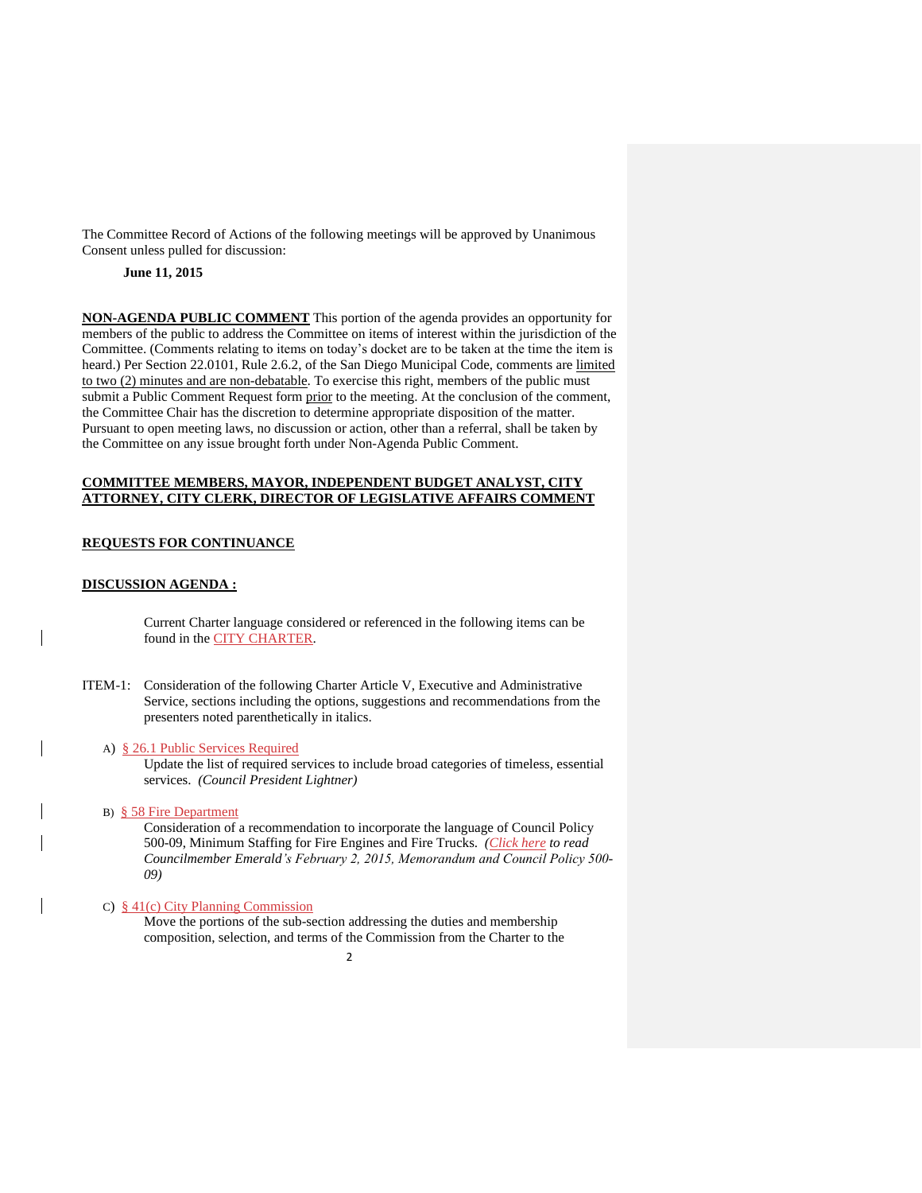The Committee Record of Actions of the following meetings will be approved by Unanimous Consent unless pulled for discussion:

# **June 11, 2015**

**NON-AGENDA PUBLIC COMMENT** This portion of the agenda provides an opportunity for members of the public to address the Committee on items of interest within the jurisdiction of the Committee. (Comments relating to items on today's docket are to be taken at the time the item is heard.) Per Section 22.0101, Rule 2.6.2, of the San Diego Municipal Code, comments are limited to two (2) minutes and are non-debatable. To exercise this right, members of the public must submit a Public Comment Request form prior to the meeting. At the conclusion of the comment, the Committee Chair has the discretion to determine appropriate disposition of the matter. Pursuant to open meeting laws, no discussion or action, other than a referral, shall be taken by the Committee on any issue brought forth under Non-Agenda Public Comment.

# **COMMITTEE MEMBERS, MAYOR, INDEPENDENT BUDGET ANALYST, CITY ATTORNEY, CITY CLERK, DIRECTOR OF LEGISLATIVE AFFAIRS COMMENT**

#### **REQUESTS FOR CONTINUANCE**

#### **DISCUSSION AGENDA :**

Current Charter language considered or referenced in the following items can be found in the [CITY CHARTER.](http://www.sandiego.gov/city-clerk/officialdocs/legisdocs/charter.shtml)

ITEM-1: Consideration of the following Charter Article V, Executive and Administrative Service, sections including the options, suggestions and recommendations from the presenters noted parenthetically in italics.

#### A) [§ 26.1 Public Services Required](http://docs.sandiego.gov/councilcomm_agendas_attach/2015/cr_150702_1a.pdf)

Update the list of required services to include broad categories of timeless, essential services. *(Council President Lightner)*

B) [§ 58 Fire Department](http://docs.sandiego.gov/councilcomm_agendas_attach/2015/cr_150702_1b1.pdf)

Consideration of a recommendation to incorporate the language of Council Policy 500-09, Minimum Staffing for Fire Engines and Fire Trucks. *[\(Click here](http://docs.sandiego.gov/councilcomm_agendas_attach/2015/cr_150702_1b.pdf) to read Councilmember Emerald's February 2, 2015, Memorandum and Council Policy 500- 09)*

### C) § 41(c) [City Planning Commission](http://docs.sandiego.gov/councilcomm_agendas_attach/2015/cr_150702_1c.pdf)

Move the portions of the sub-section addressing the duties and membership composition, selection, and terms of the Commission from the Charter to the

 $\overline{\phantom{0}}$